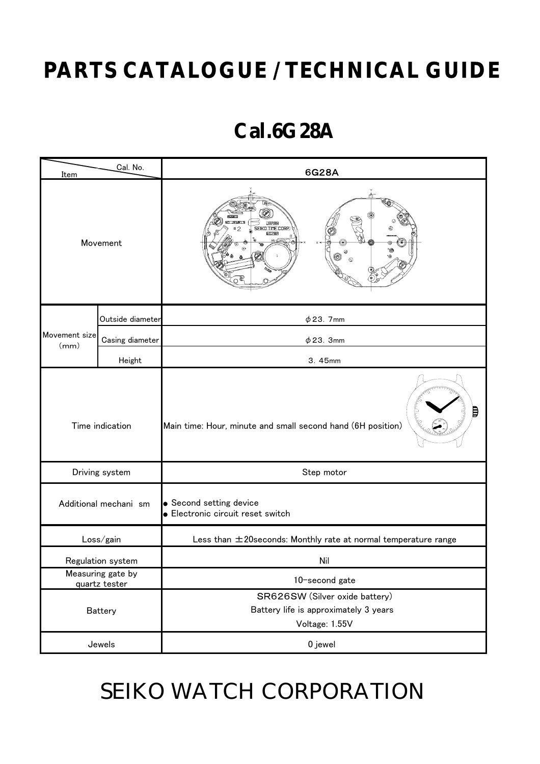# **PARTS CATALOGUE / TECHNICAL GUIDE**

## **Cal.6G28A**

| Cal. No.<br>Item                   |                  | 6G28A                                                                                     |  |
|------------------------------------|------------------|-------------------------------------------------------------------------------------------|--|
| Movement                           |                  | <b>JAPAN</b><br>SEIKO TIME CORP.<br>B<br>66288<br>$\otimes$<br>Ø<br>◉<br>$\odot$          |  |
| Movement size<br>(mm)              | Outside diameter | $\phi$ 23. 7mm                                                                            |  |
|                                    | Casing diameter  | $\phi$ 23. 3mm                                                                            |  |
|                                    | Height           | 3.45mm                                                                                    |  |
| Time indication                    |                  | ₿<br>Main time: Hour, minute and small second hand (6H position)                          |  |
| Driving system                     |                  | Step motor                                                                                |  |
| Additional mechani sm              |                  | • Second setting device<br><b>.</b> Electronic circuit reset switch                       |  |
| Loss/gain                          |                  | Less than ±20seconds: Monthly rate at normal temperature range                            |  |
| Regulation system                  |                  | Nil                                                                                       |  |
| Measuring gate by<br>quartz tester |                  | 10-second gate                                                                            |  |
| <b>Battery</b>                     |                  | SR626SW (Silver oxide battery)<br>Battery life is approximately 3 years<br>Voltage: 1.55V |  |
| Jewels                             |                  | 0 jewel                                                                                   |  |

# SEIKO WATCH CORPORATION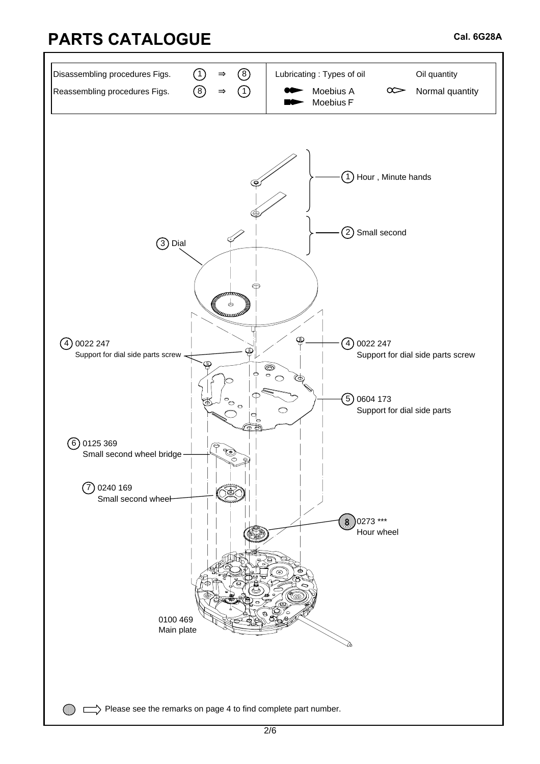#### **PARTS CATALOGUE**

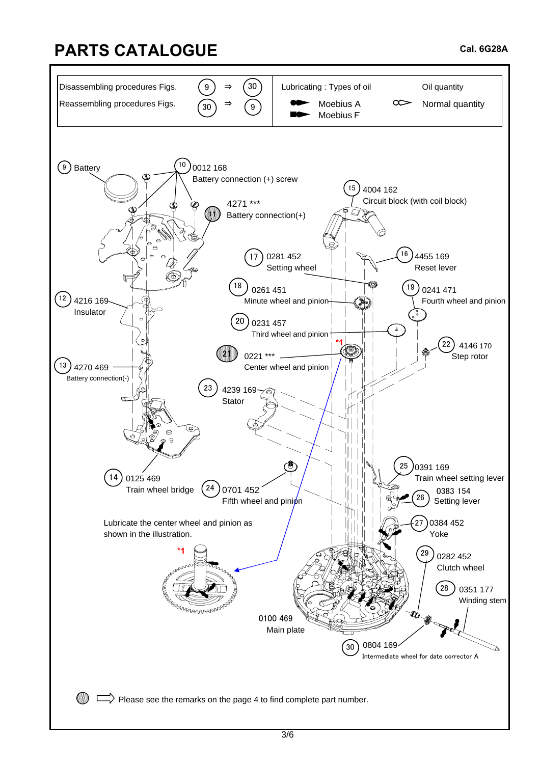## **PARTS CATALOGUE**

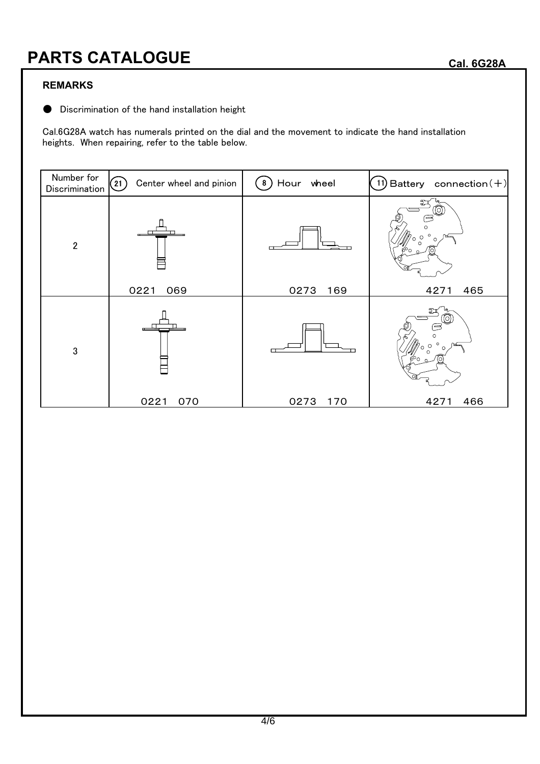#### **PARTS CATALOGUE**

#### **REMARKS**

● Discrimination of the hand installation height

Cal.6G28A watch has numerals printed on the dial and the movement to indicate the hand installation heights. When repairing, refer to the table below.

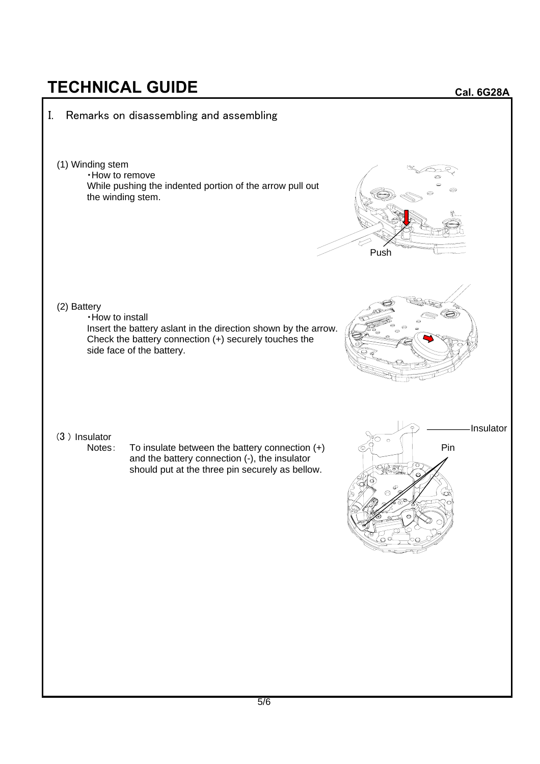## **TECHNICAL GUIDE**



**Cal. 6G28A**